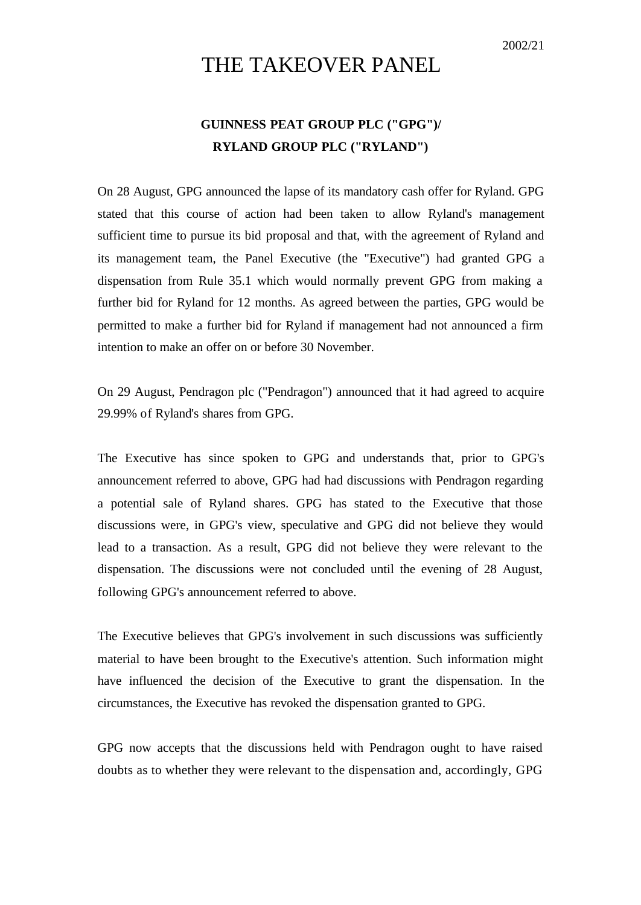## THE TAKEOVER PANEL

## **GUINNESS PEAT GROUP PLC ("GPG")/ RYLAND GROUP PLC ("RYLAND")**

On 28 August, GPG announced the lapse of its mandatory cash offer for Ryland. GPG stated that this course of action had been taken to allow Ryland's management sufficient time to pursue its bid proposal and that, with the agreement of Ryland and its management team, the Panel Executive (the "Executive") had granted GPG a dispensation from Rule 35.1 which would normally prevent GPG from making a further bid for Ryland for 12 months. As agreed between the parties, GPG would be permitted to make a further bid for Ryland if management had not announced a firm intention to make an offer on or before 30 November.

On 29 August, Pendragon plc ("Pendragon") announced that it had agreed to acquire 29.99% of Ryland's shares from GPG.

The Executive has since spoken to GPG and understands that, prior to GPG's announcement referred to above, GPG had had discussions with Pendragon regarding a potential sale of Ryland shares. GPG has stated to the Executive that those discussions were, in GPG's view, speculative and GPG did not believe they would lead to a transaction. As a result, GPG did not believe they were relevant to the dispensation. The discussions were not concluded until the evening of 28 August, following GPG's announcement referred to above.

The Executive believes that GPG's involvement in such discussions was sufficiently material to have been brought to the Executive's attention. Such information might have influenced the decision of the Executive to grant the dispensation. In the circumstances, the Executive has revoked the dispensation granted to GPG.

GPG now accepts that the discussions held with Pendragon ought to have raised doubts as to whether they were relevant to the dispensation and, accordingly, GPG